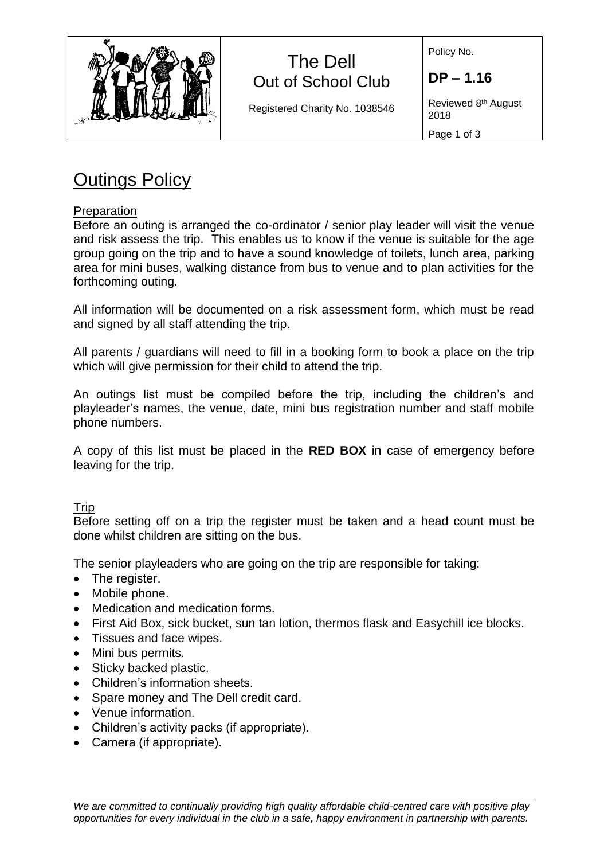

# The Dell Out of School Club

Registered Charity No. 1038546

Policy No.

**DP – 1.16**

Reviewed 8<sup>th</sup> August 2018

Page 1 of 3

# **Outings Policy**

# **Preparation**

Before an outing is arranged the co-ordinator / senior play leader will visit the venue and risk assess the trip. This enables us to know if the venue is suitable for the age group going on the trip and to have a sound knowledge of toilets, lunch area, parking area for mini buses, walking distance from bus to venue and to plan activities for the forthcoming outing.

All information will be documented on a risk assessment form, which must be read and signed by all staff attending the trip.

All parents / guardians will need to fill in a booking form to book a place on the trip which will give permission for their child to attend the trip.

An outings list must be compiled before the trip, including the children's and playleader's names, the venue, date, mini bus registration number and staff mobile phone numbers.

A copy of this list must be placed in the **RED BOX** in case of emergency before leaving for the trip.

# Trip

Before setting off on a trip the register must be taken and a head count must be done whilst children are sitting on the bus.

The senior playleaders who are going on the trip are responsible for taking:

- The register.
- Mobile phone.
- Medication and medication forms.
- First Aid Box, sick bucket, sun tan lotion, thermos flask and Easychill ice blocks.
- Tissues and face wipes.
- Mini bus permits.
- Sticky backed plastic.
- Children's information sheets.
- Spare money and The Dell credit card.
- Venue information.
- Children's activity packs (if appropriate).
- Camera (if appropriate).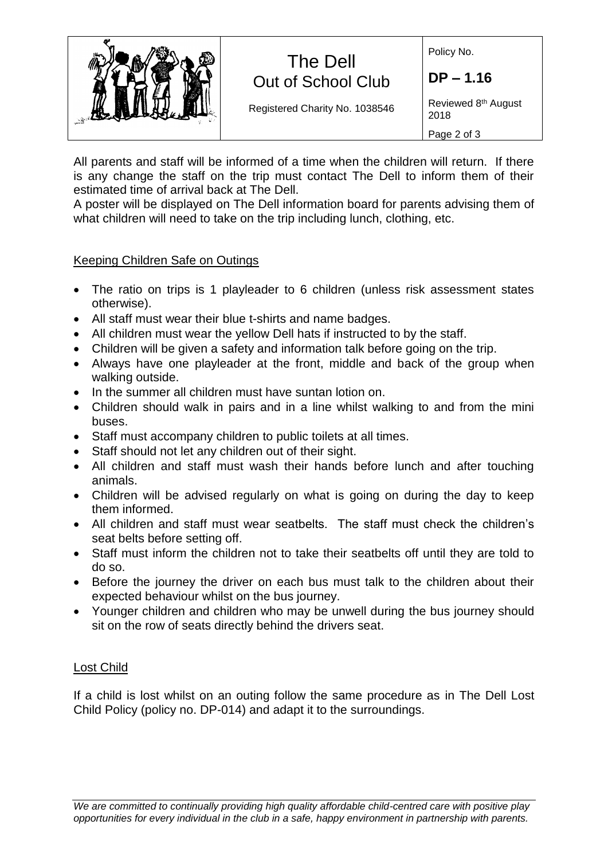| Æ.,<br>E | The Dell<br>Out of School Club | Policy No.<br>$DP - 1.16$                  |
|----------|--------------------------------|--------------------------------------------|
|          | Registered Charity No. 1038546 | Reviewed 8th August<br>2018<br>Page 2 of 3 |

All parents and staff will be informed of a time when the children will return. If there is any change the staff on the trip must contact The Dell to inform them of their estimated time of arrival back at The Dell.

A poster will be displayed on The Dell information board for parents advising them of what children will need to take on the trip including lunch, clothing, etc.

### Keeping Children Safe on Outings

- The ratio on trips is 1 playleader to 6 children (unless risk assessment states otherwise).
- All staff must wear their blue t-shirts and name badges.
- All children must wear the yellow Dell hats if instructed to by the staff.
- Children will be given a safety and information talk before going on the trip.
- Always have one playleader at the front, middle and back of the group when walking outside.
- In the summer all children must have suntan lotion on.
- Children should walk in pairs and in a line whilst walking to and from the mini buses.
- Staff must accompany children to public toilets at all times.
- Staff should not let any children out of their sight.
- All children and staff must wash their hands before lunch and after touching animals.
- Children will be advised regularly on what is going on during the day to keep them informed.
- All children and staff must wear seatbelts. The staff must check the children's seat belts before setting off.
- Staff must inform the children not to take their seatbelts off until they are told to do so.
- Before the journey the driver on each bus must talk to the children about their expected behaviour whilst on the bus journey.
- Younger children and children who may be unwell during the bus journey should sit on the row of seats directly behind the drivers seat.

## Lost Child

If a child is lost whilst on an outing follow the same procedure as in The Dell Lost Child Policy (policy no. DP-014) and adapt it to the surroundings.